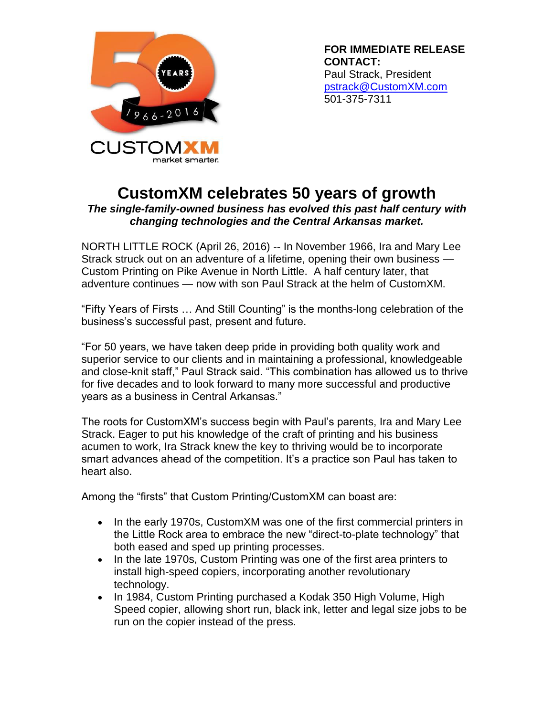

**FOR IMMEDIATE RELEASE CONTACT:** Paul Strack, President [pstrack@CustomXM.com](mailto:pstrack@CustomXM.com) 501-375-7311

## **CustomXM celebrates 50 years of growth**

*The single-family-owned business has evolved this past half century with changing technologies and the Central Arkansas market.*

NORTH LITTLE ROCK (April 26, 2016) -- In November 1966, Ira and Mary Lee Strack struck out on an adventure of a lifetime, opening their own business — Custom Printing on Pike Avenue in North Little. A half century later, that adventure continues — now with son Paul Strack at the helm of CustomXM.

"Fifty Years of Firsts … And Still Counting" is the months-long celebration of the business's successful past, present and future.

"For 50 years, we have taken deep pride in providing both quality work and superior service to our clients and in maintaining a professional, knowledgeable and close-knit staff," Paul Strack said. "This combination has allowed us to thrive for five decades and to look forward to many more successful and productive years as a business in Central Arkansas."

The roots for CustomXM's success begin with Paul's parents, Ira and Mary Lee Strack. Eager to put his knowledge of the craft of printing and his business acumen to work, Ira Strack knew the key to thriving would be to incorporate smart advances ahead of the competition. It's a practice son Paul has taken to heart also.

Among the "firsts" that Custom Printing/CustomXM can boast are:

- In the early 1970s, CustomXM was one of the first commercial printers in the Little Rock area to embrace the new "direct-to-plate technology" that both eased and sped up printing processes.
- In the late 1970s, Custom Printing was one of the first area printers to install high-speed copiers, incorporating another revolutionary technology.
- In 1984, Custom Printing purchased a Kodak 350 High Volume, High Speed copier, allowing short run, black ink, letter and legal size jobs to be run on the copier instead of the press.